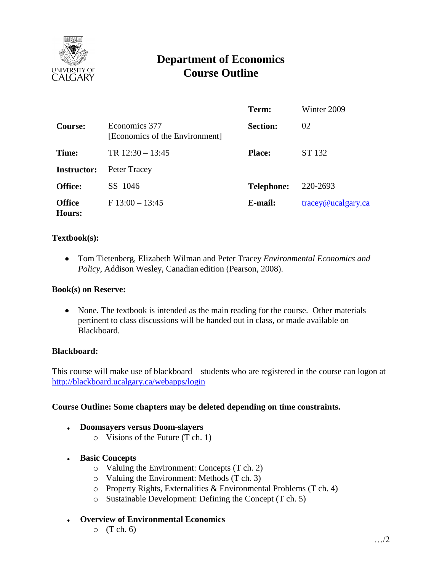

# **Department of Economics Course Outline**

|                         |                                                 | Term:             | Winter 2009                      |
|-------------------------|-------------------------------------------------|-------------------|----------------------------------|
| Course:                 | Economics 377<br>[Economics of the Environment] | <b>Section:</b>   | 02                               |
| Time:                   | TR $12:30 - 13:45$                              | <b>Place:</b>     | ST 132                           |
| <b>Instructor:</b>      | Peter Tracey                                    |                   |                                  |
| <b>Office:</b>          | SS 1046                                         | <b>Telephone:</b> | 220-2693                         |
| <b>Office</b><br>Hours: | $F13:00-13:45$                                  | E-mail:           | $trace\$ <sub>@ucalgary.ca</sub> |

# **Textbook(s):**

Tom Tietenberg, Elizabeth Wilman and Peter Tracey *Environmental Economics and Policy*, Addison Wesley, Canadian edition (Pearson, 2008).

### **Book(s) on Reserve:**

• None. The textbook is intended as the main reading for the course. Other materials pertinent to class discussions will be handed out in class, or made available on Blackboard.

### **Blackboard:**

This course will make use of blackboard – students who are registered in the course can logon at <http://blackboard.ucalgary.ca/webapps/login>

### **Course Outline: Some chapters may be deleted depending on time constraints.**

#### **Doomsayers versus Doom-slayers**   $\bullet$

o Visions of the Future (T ch. 1)

### **Basic Concepts**

- o Valuing the Environment: Concepts (T ch. 2)
- o Valuing the Environment: Methods (T ch. 3)
- o Property Rights, Externalities & Environmental Problems (T ch. 4)
- o Sustainable Development: Defining the Concept (T ch. 5)
- **Overview of Environmental Economics**
	- $\circ$  (T ch. 6)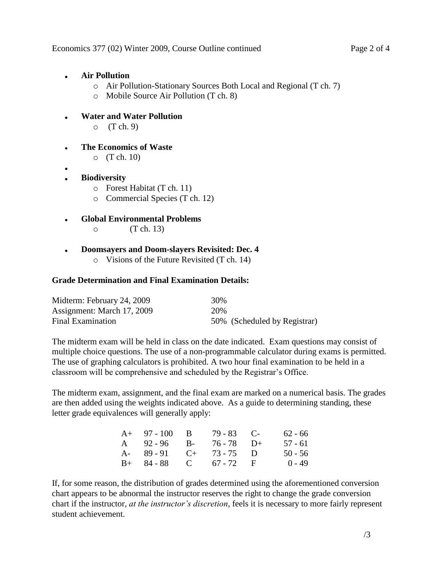- **Air Pollution**
	- o Air Pollution-Stationary Sources Both Local and Regional (T ch. 7)
	- o Mobile Source Air Pollution (T ch. 8)
- **Water and Water Pollution**  $\bullet$  $O(T \, ch. 9)$
- **The Economics of Waste**  $\bullet$ 
	- o (T ch. 10)
- 
- **Biodiversity** 
	- o Forest Habitat (T ch. 11)
	- o Commercial Species (T ch. 12)
- **Global Environmental Problems**  $\bullet$ 
	- $\circ$  (T ch. 13)
- **Doomsayers and Doom-slayers Revisited: Dec. 4**  $\bullet$ o Visions of the Future Revisited (T ch. 14)

# **Grade Determination and Final Examination Details:**

| Midterm: February 24, 2009 | 30% |                              |
|----------------------------|-----|------------------------------|
| Assignment: March 17, 2009 | 20% |                              |
| <b>Final Examination</b>   |     | 50% (Scheduled by Registrar) |

The midterm exam will be held in class on the date indicated. Exam questions may consist of multiple choice questions. The use of a non-programmable calculator during exams is permitted. The use of graphing calculators is prohibited. A two hour final examination to be held in a classroom will be comprehensive and scheduled by the Registrar's Office.

The midterm exam, assignment, and the final exam are marked on a numerical basis. The grades are then added using the weights indicated above. As a guide to determining standing, these letter grade equivalences will generally apply:

| $A+ 97-100 B$               | $79 - 83$ C- | $62 - 66$ |
|-----------------------------|--------------|-----------|
| A 92-96 B- 76-78 D+         |              | 57 - 61   |
| A- $89 - 91$ C+ $73 - 75$ D |              | $50 - 56$ |
| $B+ 84-88$ C 67 - 72 F      |              | $0 - 49$  |

If, for some reason, the distribution of grades determined using the aforementioned conversion chart appears to be abnormal the instructor reserves the right to change the grade conversion chart if the instructor, *at the instructor's discretion*, feels it is necessary to more fairly represent student achievement.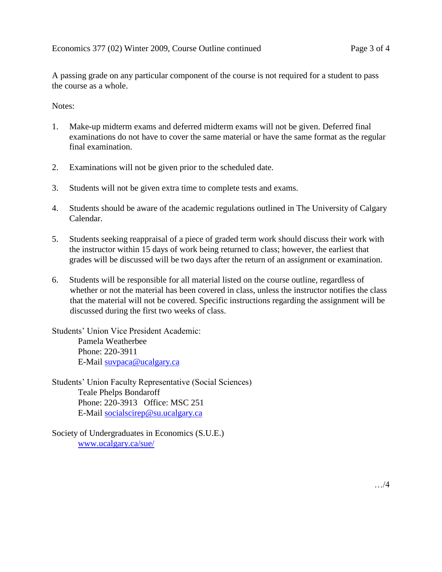A passing grade on any particular component of the course is not required for a student to pass the course as a whole.

Notes:

- 1. Make-up midterm exams and deferred midterm exams will not be given. Deferred final examinations do not have to cover the same material or have the same format as the regular final examination.
- 2. Examinations will not be given prior to the scheduled date.
- 3. Students will not be given extra time to complete tests and exams.
- 4. Students should be aware of the academic regulations outlined in The University of Calgary Calendar.
- 5. Students seeking reappraisal of a piece of graded term work should discuss their work with the instructor within 15 days of work being returned to class; however, the earliest that grades will be discussed will be two days after the return of an assignment or examination.
- 6. Students will be responsible for all material listed on the course outline, regardless of whether or not the material has been covered in class, unless the instructor notifies the class that the material will not be covered. Specific instructions regarding the assignment will be discussed during the first two weeks of class.

Students' Union Vice President Academic: Pamela Weatherbee Phone: 220-3911 E-Mail [suvpaca@ucalgary.ca](mailto:suvpaca@ucalgary.ca)

Students' Union Faculty Representative (Social Sciences) Teale Phelps Bondaroff Phone: 220-3913 Office: MSC 251 E-Mail [socialscirep@su.ucalgary.ca](mailto:socialscirep@su.ucalgary.ca) 

Society of Undergraduates in Economics (S.U.E.) [www.ucalgary.ca/sue/](http://www.ucalgary.ca/sue/)